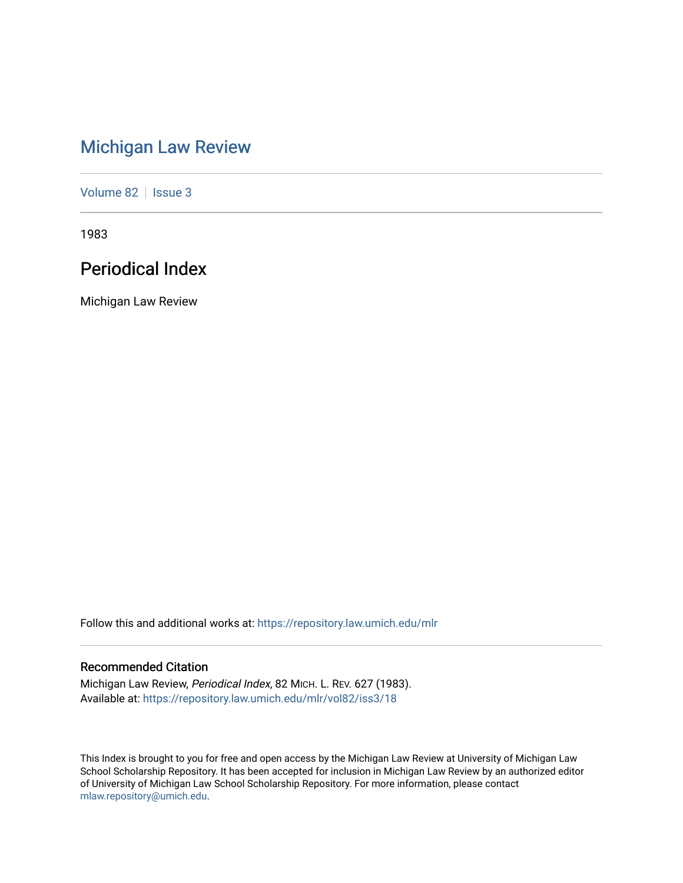# [Michigan Law Review](https://repository.law.umich.edu/mlr)

[Volume 82](https://repository.law.umich.edu/mlr/vol82) | [Issue 3](https://repository.law.umich.edu/mlr/vol82/iss3)

1983

# Periodical Index

Michigan Law Review

Follow this and additional works at: [https://repository.law.umich.edu/mlr](https://repository.law.umich.edu/mlr?utm_source=repository.law.umich.edu%2Fmlr%2Fvol82%2Fiss3%2F18&utm_medium=PDF&utm_campaign=PDFCoverPages) 

## Recommended Citation

Michigan Law Review, Periodical Index, 82 MICH. L. REV. 627 (1983). Available at: [https://repository.law.umich.edu/mlr/vol82/iss3/18](https://repository.law.umich.edu/mlr/vol82/iss3/18?utm_source=repository.law.umich.edu%2Fmlr%2Fvol82%2Fiss3%2F18&utm_medium=PDF&utm_campaign=PDFCoverPages) 

This Index is brought to you for free and open access by the Michigan Law Review at University of Michigan Law School Scholarship Repository. It has been accepted for inclusion in Michigan Law Review by an authorized editor of University of Michigan Law School Scholarship Repository. For more information, please contact [mlaw.repository@umich.edu.](mailto:mlaw.repository@umich.edu)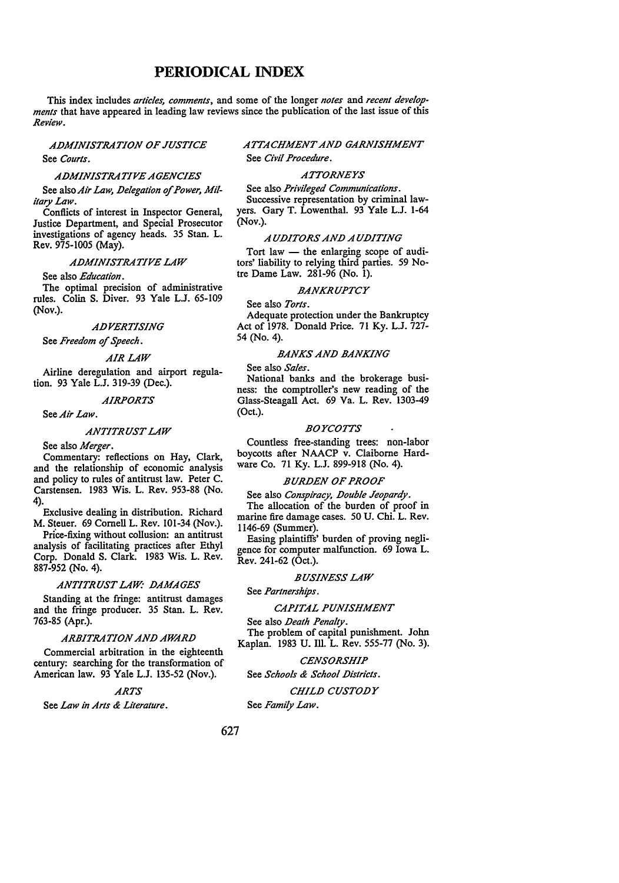## **PERIODICAL INDEX**

This index includes *articles, comments,* and some of the longer *notes* and *recent developments* that have appeared in leading law reviews since the publication of the last issue of this *Review.* 

*AJJMINISTRATION OF JUSTICE*  See *Courts.* 

## *AJJMINISTRATIVE AGENCIES*

See also Air Law, Delegation of Power, Mil*itary Law.* 

Conflicts of interest in Inspector General, Justice Department, and Special Prosecutor investigations of agency heads. 35 Stan. L. Rev. 975-1005 (May).

## *AJJMINISTRATIVE LAW*

See also *Education.* 

The optimal precision of administrative rules. Colin S. Diver. 93 Yale L.J. 65-109 (Nov.).

## *AJJVERTISING*

See *Freedom of Speech.* 

## *AIR LAW*

Airline deregulation and airport regulation. 93 Yale L.J. 319-39 (Dec.).

## *AIRPORTS*

See *Air Law.* 

## *ANTITRUST LAW*

See also *Merger.* 

Commentary: reflections on Hay, Clark, and the relationship of economic analysis and policy to rules of antitrust law. Peter C. Carstensen. 1983 Wis. L. Rev. 953-88 (No. 4).

Exclusive dealing in distribution. Richard M. Steuer. 69 Cornell L. Rev. 101-34 (Nov.).

Price-fixing without collusion: an antitrust analysis of facilitating practices after Ethyl Corp. Donald S. Clark. 1983 Wis. L. Rev. 887-952 (No. 4).

#### *ANTITRUST LAW: JJAMAGES*

Standing at the fringe: antitrust damages and the fringe producer. 35 Stan. L. Rev. 763-85 (Apr.).

## *ARBITRATION ANJJ AWARJJ*

Commercial arbitration in the eighteenth century: searching for the transformation of American law. 93 Yale L.J. 135-52 (Nov.).

#### *ARTS*

See *Law in Arts & Literature.* 

## *ATTACHMENT ANJJ GARNISHMENT*  See *Civil Procedure.*

## *ATTORNEYS*

See also *Privileged Communications.* 

Successive representation by criminal lawyers. Gary T. Lowenthal. 93 Yale L.J. 1-64 (Nov.).

## *A UJJITORS ANJJ A UJJITING*

Tort law  $-$  the enlarging scope of auditors' liability to relying third parties. 59 Notre Dame Law. 281-96 (No. I).

#### *BANKRUPTCY*

See also *Torts.* 

Adequate protection under the Bankruptcy Act of 1978. Donald Price. 71 Ky. L.J. 727- 54 (No. 4).

## **BANKS AND BANKING**

See also *Sales.* 

National banks and the brokerage business: the comptroller's new reading of the Glass-Steagall Act. 69 Va. L. Rev. 1303-49 (Oct.).

## *BOYCOTTS*

Countless free-standing trees: non-labor boycotts after NAACP v. Claiborne Hardware Co. 71 Ky. L.J. 899-918 (No. 4).

## **BURDEN OF PROOF**

See also *Conspiracy*, *Double Jeopardy*.

The allocation of the burden of proof in marine fire damage cases. 50 U. Chi. L. Rev. 1146-69 (Summer).

Easing plaintiffs' burden of proving negligence for computer malfunction. 69 Iowa L. Rev. 241-62 (Oct.).

*BUSINESS LAW* 

See *Partnerships.* 

## *CAPITAL PUNISHMENT*

See also *Death Penalty*. The problem of capital punishment. John Kaplan. 1983 U. Ill. L. Rev. 555-77 (No. 3).

## *CENSORSHIP*

See *Schools & School Districts*.

## *CHILJJ CUSTOJJY*

See *Family Law.*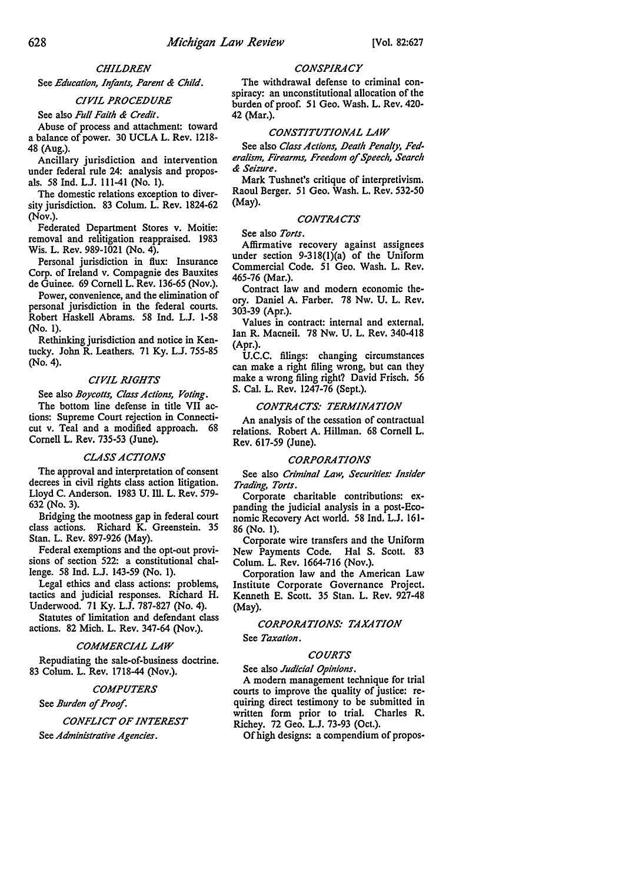## *CHILDREN*

See *Education, Infants, Parent & Child.* 

## *CIVIL PROCEDURE*

See also *Full Faith & Credit.* 

Abuse of process and attachment: toward a balance of power. 30 UCLA L. Rev. 1218- 48 (Aug.).

Ancillary jurisdiction and intervention under federal rule 24: analysis and proposals. 58 Ind. LJ. 111-41 (No. I).

The domestic relations exception to diversity jurisdiction. 83 Colum. L. Rev. 1824-62 (Nov.).

Federated Department Stores v. Moitie: removal and relitigation reappraised. 1983 Wis. L. Rev. 989-1021 (No. 4).

Personal jurisdiction in flux: Insurance Corp. of Ireland v. Compagnie des Bauxites de Guinee. 69 Cornell L. Rev. 136-65 (Nov.).

Power, convenience, and the elimination of personal jurisdiction in the federal courts. Robert Haskell Abrams. 58 Ind. L.J. 1-58 (No. I).

Rethinking jurisdiction and notice in Kentucky. John R. Leathers. 71 Ky. L.J. 755-85 (No. 4).

## *CIVIL RIGHTS*

See also *Boycolls, Class Actions, Voling.*  The bottom line defense in title VII actions: Supreme Court rejection in Connecticut v. Teal and a modified approach. 68 Cornell L. Rev. 735-53 (June).

#### *CLASS ACTIONS*

The approval and interpretation of consent decrees in civil rights class action litigation. Lloyd C. Anderson. 1983 U. Ill. L. Rev. 579- 632 (No. 3).

Bridging the mootness gap in federal court class actions. Richard K. Greenstein. 35 Stan. L. Rev. 897-926 (May).

Federal exemptions and the opt-out provisions of section 522: a constitutional challenge. 58 Ind. L.J. 143-59 (No. I).

Legal ethics and class actions: problems, tactics and judicial responses. Richard H. Underwood. 71 Ky. L.J. 787-827 (No. 4).

Statutes of limitation and defendant class actions. 82 Mich. L. Rev. 347-64 (Nov.).

## *COMMERCIAL LAW*

Repudiating the sale-of-business doctrine. 83 Colum. L. Rev. 1718-44 (Nov.).

## *COMPUTERS*

See *Burden of Proof.* 

*CONFLICT OF INTEREST*  See *Administrative Agencies.* 

## *CONSPIRACY*

The withdrawal defense to criminal conspiracy: an unconstitutional allocation of the burden of proof. 51 Geo. Wash. L. Rev. 420- 42 (Mar.).

## *CONSTITUTIONAL LAW*

See also *Class Actions, Death Penalty, Federalism, Firearms, Freedom of Speech, Search & Seizure.* 

Mark Tushnet's critique of interpretivism. Raoul Berger. 51 Geo. Wash. L. Rev. 532-50 (May).

### *CONTRACTS*

See also *Torts.* 

Affirmative recovery against assignees under section 9-318(1)(a) of the Uniform Commercial Code. 51 Geo. Wash. L. Rev. 465-76 (Mar.).

Contract law and modem economic theory. Daniel A. Farber. 78 Nw. U. L. Rev. 303-39 (Apr.).

Values in contract: internal and external. Ian R. Macneil. 78 Nw. U. L. Rev. 340-418 (Apr.).

U.C.C. filings: changing circumstances can make a right filing wrong, but can they make a wrong filing right? David Frisch, 56 S. Cal. L. Rev. 1247-76 (Sept.).

## *CONTRACTS: TERMINATION*

An analysis of the cessation of contractual relations. Robert A. Hillman. 68 Cornell L. Rev. 617-59 (June).

#### *CORPORATIONS*

See also *Criminal Law, Securities: Insider Trading, Torts.* 

Corporate charitable contributions: expanding the judicial analysis in a post-Economic Recovery Act world. 58 Ind. L.J. 161- 86 (No. I).

Corporate wire transfers and the Uniform New Payments Code. Hal S. Scott. 83 Colum. L. Rev. 1664-716 (Nov.).

Corporation law and the American Law Institute Corporate Governance Project, Kenneth E. Scott. 35 Stan. L. Rev. 927-48 (May).

## *CORPORATIONS: TAXATION*

See *Taxation.* 

## *COURTS*

See also *Judicial Opinions.* 

A modem management technique for trial courts to improve the quality of justice: requiring direct testimony to be submitted in written form prior to trial. Charles R. Richey. 72 Geo. L.J. 73-93 (Oct.).

Of high designs: a compendium of propos-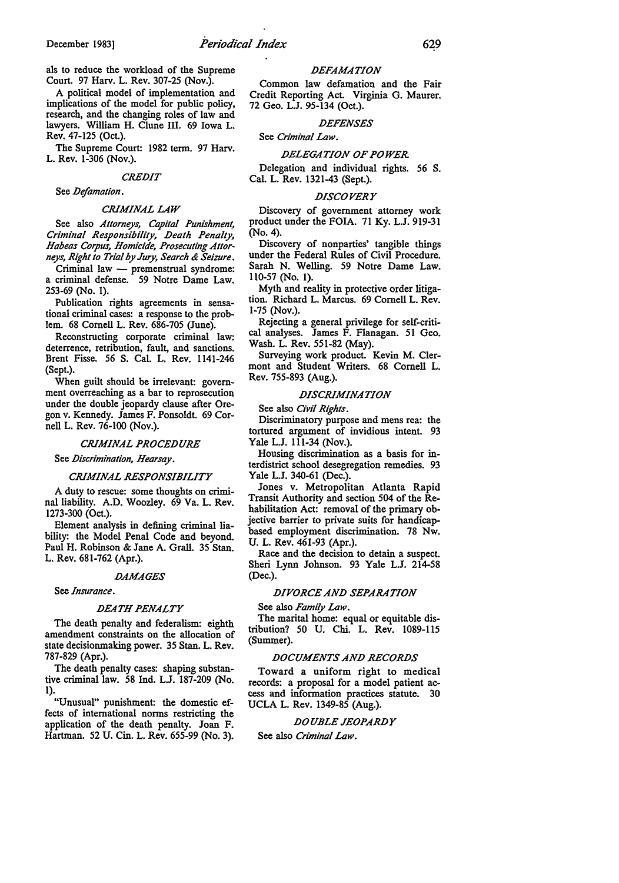als to reduce the workload of the Supreme Court. 97 Harv. L. Rev. 307-25 (Nov.).

A political model of implementation and implications of the model for public policy, research, and the changing roles of law and lawyers. William H. Clune III. 69 Iowa L. Rev. 47-125 (Oct.).

The Supreme Court: 1982 term. 97 Harv. L. Rev. 1-306 (Nov.).

#### *CREJJIT*

See *Defamation*.

## *CRIMINAL LAW*

See also *Attorneys, Capital Punishment, Criminal Responsibility, /Jeath Penalty, Habeas Corpus, Homicide, Prosecuting Attorneys, Right to Trial by Jury, Search & Seizure.* 

Criminal law - premenstrual syndrome: a criminal defense. 59 Notre Dame Law. 253-69 (No. 1).

Publication rights agreements in sensational criminal cases: a response to the problem. 68 Cornell L. Rev. 686-705 (June).

Reconstructing corporate criminal law: deterrence, retribution, fault, and sanctions. Brent Fisse. 56 S. Cal. L. Rev. 1141-246 (Sept.).

When guilt should be irrelevant: government overreaching as a bar to reprosecution under the double jeopardy clause after Oregon v. Kennedy. James F. Ponsoldt. 69 Cornell L. Rev. 76-100 (Nov.).

#### *CRIMINAL PROCEJJURE*

See *Discrimination, Hearsay*.

## *CRIMINAL RESPONSIBILITY*

A duty to rescue: some thoughts on criminal liability. A.D. Woozley. 69 Va. L. Rev. 1273-300 (Oct.).

Element analysis in defining criminal liability: the Model Penal Code and beyond. Paul H. Robinson & Jane A. Grall. 35 Stan. L. Rev. 681-762 (Apr.).

#### *IJAMAGES*

See *Insurance.* 

#### *JJEATH PENALTY*

The death penalty and federalism: eighth amendment constraints on the allocation of state decisionmaking power. 35 Stan. L. Rev. 787-829 (Apr.).

The death penalty cases: shaping substantive criminal law. 58 Ind. L.J. 187-209 (No. 1).

"Unusual" punishment: the domestic effects of international norms restricting the application of the death penalty. Joan F. Hartman. 52 U. Cin. L. Rev. 655-99 (No. 3).

#### *IJEFAMATION*

Common law defamation and the Fair Credit Reporting Act. Virginia G. Maurer. 72 Geo. L.J. 95-134 (Oct.).

## *IJEFENSES*

See *Criminal Law.* 

## *IJELEGATION OF POWER*

Delegation and individual rights. 56 S. Cal. L. Rev. 1321-43 (Sept.).

#### *JJISCOVERY*

Discovery of government attorney work product under the FOIA. 71 Ky. L.J. 919-31 (No. 4).

Discovery of nonparties' tangible things under the Federal Rules of Civil Procedure. Sarah N. Welling. 59 Notre Dame Law. 110-57 (No. 1).

Myth and reality in protective order litigation. Richard L. Marcus. 69 Cornell L. Rev. 1-75 (Nov.).

Rejecting a general privilege for self-critical analyses. James F. Flanagan. 51 Geo. Wash. L. Rev. 551-82 (May).

Surveying work product. Kevin M. Clermont and Student Writers. 68 Cornell L. Rev. 755-893 (Aug.).

## *DISCRIMINATION*

See also *Civil Rights.* 

Discriminatory purpose and mens rea: the tortured argument of invidious intent. 93 Yale L.J. 111-34 (Nov.).

Housing discrimination as a basis for interdistrict school desegregation remedies. 93 Yale L.J. 340-61 (Dec.).

Jones v. Metropolitan Atlanta Rapid Transit Authority and section 504 of the Rehabilitation Act: removal of the primary objective barrier to private suits for handicapbased employment discrimination. 78 Nw. U. L. Rev. 461-93 (Apr.).

Race and the decision to detain a suspect. Sheri Lynn Johnson. 93 Yale L.J. 214-58 (Dec.).

## *DIVORCE AND SEPARATION*

See also *Family Law.* 

The marital home: equal or equitable distribution? 50 U. Chi. L. Rev. 1089-115 (Summer).

## *DOCUMENTS ANJJ RECORDS*

Toward a uniform right to medical records: a proposal for a model patient access and information practices statute. 30 UCLA L. Rev. 1349-85 (Aug.).

## *IJOUBLE JEOPARDY*

See also *Criminal Law.*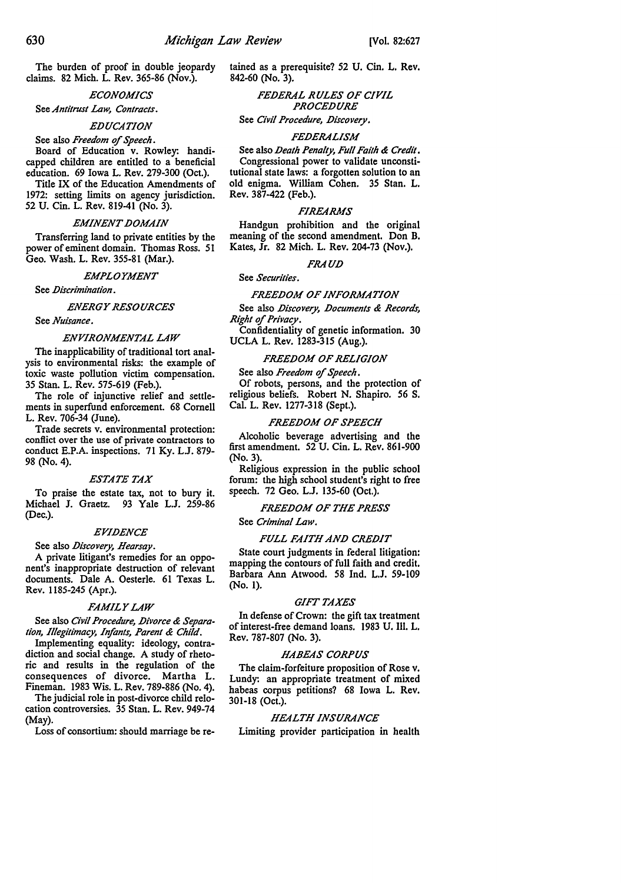The burden of proof in double jeopardy claims. 82 Mich. L. Rev. 365-86 (Nov.).

## *ECONOMICS*

# See *Antitrust Law, Contracts.*

## *EDUCATION*

## See also *Freedom* of *Speech.*

Board of Education v. Rowley: handicapped children are entitled to a beneficial education. 69 Iowa L. Rev. 279-300 (Oct.).

Title IX of the Education Amendments of 1972: setting limits on agency jurisdiction. 52 U. Cin. L. Rev. 819-41 (No. 3).

## *EMINENT DOMAIN*

Transferring land to private entities by the power of eminent domain. Thomas Ross. 51 Geo. Wash. L. Rev. 355-81 (Mar.).

*EMPLOYMENT* 

See *Discrimination*.

#### *ENERGY RESOURCES*

See *Nuisance.* 

## *ENVIRONMENTAL LAW*

The inapplicability of traditional tort analysis to environmental risks: the example of toxic waste pollution victim compensation. 35 Stan. L. Rev. 575-619 (Feb.).

The role of injunctive relief and settlements in superfund enforcement. 68 Cornell L. Rev. 706-34 (June).

Trade secrets v. environmental protection: conflict over the use of private contractors to conduct E.P.A. inspections. 71 Ky. LJ. 879- 98 (No. 4).

## *ESTATE TAX*

To praise the estate tax, not to bury it. Michael J. Graetz. 93 Yale L.J. 259-86 (Dec.).

## *EVIDENCE*

## See also *Discovery*, Hearsay.

A private litigant's remedies for an opponent's inappropriate destruction of relevant documents. Dale A. Oesterle. 61 Texas L. Rev. 1185-245 (Apr.).

## *FAMILY LAW*

See also Civil Procedure, Divorce & Separa*tion, Illegitimacy, Infants, Parent & Child.* 

Implementing equality: ideology, contradiction and social change. A study of rhetoric and results in the regulation of the consequences of divorce. Martha L. Fineman. 1983 Wis. L. Rev. 789-886 (No. 4).

The judicial role in post-divorce child relocation controversies. 35 Stan. L. Rev. 949-74 (May).

Loss of consortium: should marriage be re-

tained as a prerequisite? 52 U. Cin. L. Rev. 842-60 (No. 3).

> *FEDERAL RULES OF CIVIL PROCEDURE*

See Civil Procedure, Discovery.

### *FEDERALISM*

See also *Death Penalty, Full Faith & Credit.* Congressional power to validate unconstitutional state laws: a forgotten solution to an old enigma. William Cohen. 35 Stan. L. Rev. 387-422 (Feb.).

## *FIREARMS*

Handgun prohibition and the original meaning of the second amendment. Don B, Kates, Jr. 82 Mich. L. Rev. 204-73 (Nov.),

## *FRAUD*

## See *Securities.*

#### *FREE.DOM OF INFORMATION*

See also *Discovery, Documents & Records, Right* of *Privacy.* 

Confidentiality of genetic information. 30 UCLA L. Rev. 1283-315 (Aug.).

## *FREE.DOM OF RELIGION*

See also *Freedom* of *Speech.* 

Of robots, persons, and the protection of religious beliefs. Robert N. Shapiro. 56 S. Cal. L. Rev. 1277-318 (Sept.).

## *FREE.DOM OF SPEECH*

Alcoholic beverage advertising and the first amendment. 52 U. Cin. L. Rev. 861-900 (No. 3).

Religious expression in the public school forum: the high school student's right to free speech. 72 Geo. L.J. 135-60 (Oct.).

## *FREE.DOM OF THE PRESS*

See *Criminal Law.* 

## *FULL FAITH AN.D CREDIT*

State court judgments in federal litigation: mapping the contours of full faith and credit, Barbara Ann Atwood. 58 Ind. L.J. 59-109 (No. I).

## *GIFT TAXES*

In defense of Crown: the gift tax treatment of interest-free demand loans. 1983 U. Ill. L. Rev. 787-807 (No. 3).

### *HABEAS CORPUS*

The claim-forfeiture proposition of Rose v. Lundy: an appropriate treatment of mixed habeas corpus petitions? 68 Iowa L. Rev, 301-18 (Oct.).

## *HEALTH INSURANCE*

Limiting provider participation in health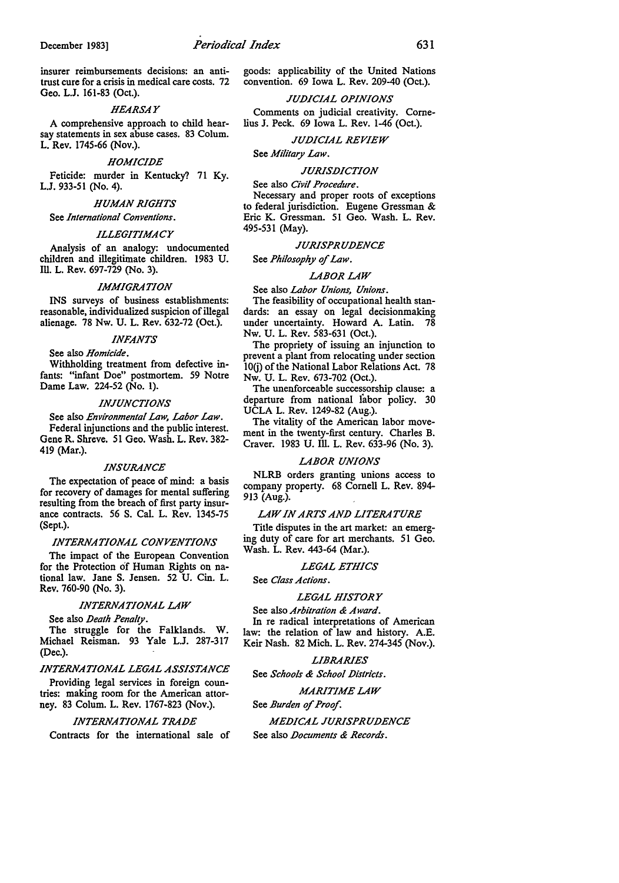insurer reimbursements decisions: an antitrust cure for a crisis in medical care costs. 72 Geo. L.J. 161-83 (Oct.).

#### *HEARSAY*

A comprehensive approach to child hearsay statements in sex abuse cases. 83 Colum. L. Rev. 1745-66 (Nov.).

#### *HOMICIDE*

Feticide: murder in Kentucky? 71 Ky. L.J. 933-51 (No. 4).

## *HUMAN RIGHTS*

See *International Conventions.* 

## *ILLEGITIMACY*

Analysis of an analogy: undocumented children and illegitimate children. 1983 U. Ill. L. Rev. 697-729 (No. 3).

#### *IMMIGRATION*

INS surveys of business establishments: reasonable, individualized suspicion of illegal alienage. 78 Nw. U. L. Rev. 632-72 (Oct.).

## *INFANTS*

**See** also *Homicide.*  Withholding treatment from defective infants: "infant Doe" postmortem. *59* Notre Dame Law. 224-52 (No. I).

#### *INJUNCTIONS*

**See** also *Environmental Law, Labor Law.*  Federal injunctions and the public interest. Gene R. Shreve. 51 Geo. Wash. L. Rev. 382- 419 (Mar.).

#### *INSURANCE*

The expectation of peace of mind: a basis for recovery of damages for mental suffering resulting from the breach of first party insurance contracts. 56 S. Cal. L. Rev. 1345-75 (Sept.).

## *INTERNATIONAL CONVENTIONS*

The impact of the European Convention for the Protection of Human Rights on national law. Jane S. Jensen. 52 U. Cin. L. Rev. 760-90 (No. 3).

## *INTERNATIONAL LAW*

See also *Death Penalty.* 

The struggle for the Falklands. W. Michael Reisman. 93 Yale L.J. 287-317 (Dec.).

### *INTERNATIONAL LEGAL ASSISTANCE*

Providing legal services in foreign countries: making room for the American attorney. 83 Colum. L. Rev. 1767-823 (Nov.).

## *INTERNATIONAL TRADE*

Contracts for the international sale of

goods: applicability of the United Nations convention. 69 Iowa L. Rev. 209-40 (Oct.).

## *JUDICIAL OPINIONS*

Comments on judicial creativity. Cornelius J. Peck. 69 Iowa L. Rev. 1-46 (Oct.).

#### *JUDICIAL REVIEW*

See *Military Law.* 

#### *JURISDICTION*

See also *Civil Procedure.* 

Necessary and proper roots of exceptions to federal jurisdiction. Eugene Gressman & Eric K. Gressman. 51 Geo. Wash. L. Rev. 495-531 (May).

#### *JURISPRUDENCE*

See *Philosophy* of *Law.* 

#### *LABOR LAW*

## See also *Labor Unions, Unions.*

The feasibility of occupational health standards: an essay on legal decisionmaking under uncertainty. Howard A. Latin. 78 Nw. U. L. **Rev.** 583-631 (Oct.).

The propriety of issuing an injunction to prevent a plant from relocating under section l0(j) of the National Labor Relations Act. 78 Nw. U. L. Rev. 673-702 (Oct.).

The unenforceable successorship clause: a departure from national labor policy. 30 UCLA L. Rev. 1249-82 (Aug.).

The vitality of the American labor movement in the twenty-first century. Charles B. Craver. 1983 U. Ill. L. Rev. 633-96 (No. 3).

## *LABOR UNIONS*

NLRB orders granting unions access to company property. 68 Cornell L. Rev. 894- 913 (Aug.).

## *LAW IN ARTS AND LITERATURE*

Title disputes in the art market: an emerging duty of care for art merchants. 51 Geo. Wash. L. Rev. 443-64 (Mar.).

### *LEGAL ETHICS*

See *Class Actions.* 

## *LEGAL HISTORY*

See also *Arbitration & Award.*  In re radical interpretations of American law: the relation of law and history. A.E. Keir Nash. 82 Mich. L. Rev. 274-345 (Nov.).

## *LIBRARIES*

See *Schools & School Districts.* 

## *MARITIME LAW*

## See *Burden* of *Proof.*

*MEDICAL JURISPRUDENCE*  See also *Documents & Records.*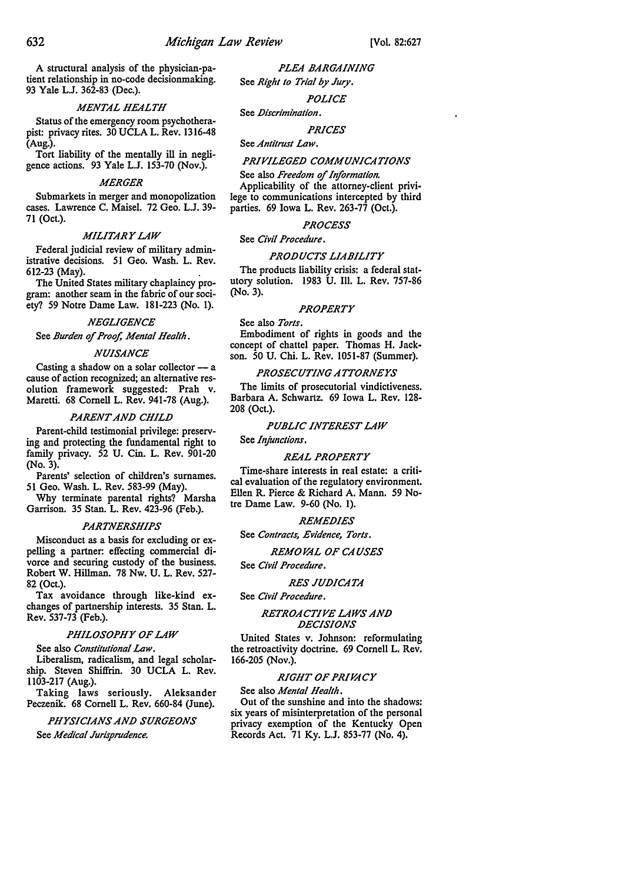A structural analysis of the physician-patient relationship in no-code decisionmaking. 93 Yale L.J. 362-83 (Dec.).

*MENTAL HEALTH* 

Status of the emergency room psychotherapist: privacy rites. 30 UCLA L. Rev. 1316-48 (Aug.).

Tort liability of the mentally ill in negligence actions. 93 Yale L.J. 153-70 (Nov.).

#### *MERGER*

Submarkets in merger and monopolization cases. Lawrence C. Maisel. 72 Geo. L.J. 39- 71 (Oct.).

## *MILITARY LAW*

Federal judicial review of military administrative decisions. 51 Geo. Wash. L. Rev. 612-23 (May). .

The United States military chaplaincy program: another seam in the fabric of our society? 59 Notre Dame Law. 181-223 (No. 1).

## *NEGLIGENCE*

See *Burden* of *Proof, Mental Health.* 

## *NUISANCE*

Casting a shadow on a solar collector  $-$  a cause of action recognized; an alternative resolution framework suggested: Prah v. Maretti. 68 Cornell L. Rev. 941-78 (Aug.).

## *PARENT ANJJ CHILJJ*

Parent-child testimonial privilege: preserving and protecting the fundamental right to family privacy. 52 U. Cin. L. Rev. 901-20 (No. 3)

Parents' selection of children's surnames. 51 Geo. Wash. L. Rev. 583-99 (May).

Why terminate parental rights? Marsha Garrison. 35 Stan. L. Rev. 423-96 (Feb.).

#### *PARTNERSHIPS*

Misconduct as a basis for excluding or expelling a partner: effecting commercial divorce and securing custody of the business. Robert W. Hillman. 78 Nw. U. L. Rev. 527- 82 (Oct.).

Tax avoidance through like-kind exchanges of partnership interests. 35 Stan. L. Rev. 537-73 (Feb.).

## *PHILOSOPHY OF LAW*

See also *Constitutional Law.* 

Liberalism, radicalism, and legal scholarship. Steven Shiffrin. 30 UCLA L. Rev. 1103-217 (Aug.).

Taking laws seriously. Aleksander Peczenik. 68 Cornell L. Rev. 660-84 (June).

*PHYSICIANS ANJJ SURGEONS*  See *Medical Jurisprudence.* 

*PLEA BARGAINING*  See *Right lo Trial by Jury.* 

*POLICE* 

See *JJiscriminalion.* 

*PRICES* 

#### See *Antitrust Law.*

## **PRIVILEGED COMMUNICATIONS**

See also *Freedom* of *Information.*  Applicability of the attorney-client privilege to communications intercepted by third parties. 69 Iowa L. Rev. 263-77 (Oct.).

## *PROCESS*

See *Civil Procedure.* 

## *PROJJUCTS LIABILITY*

The products liability crisis: a federal statutory solution. 1983 U. Ill. L. Rev. 757-86 (No. 3).

#### *PROPERTY*

See also *Torts.*  Embodiment of rights in goods and the concept of chattel paper. Thomas H. Jackson. 50 U. Chi. L. Rev. 1051-87 (Summer).

#### *PROSECUTING A1TORNEYS*

The limits of prosecutorial vindictiveness. Barbara A. Schwartz. 69 Iowa L. Rev. 128- 208 (Oct.).

## *PUBLIC INTEREST LAW*

See *Injunctions.* 

#### *REAL PROPERTY*

Time-share interests in real estate: a critical evaluation of the regulatory environment. Ellen R. Pierce & Richard A. Mann. 59 Notre Dame Law. 9-60 (No. I),

## *REMEJJIES*

See *Contracts, Evidence, Torts.* 

## *REMO VAL OF CA USES*

See *Civil Procedure.* 

## *RES JUJJICATA*

See *Civil Procedure.* 

## *RETROACTIVE LAWS ANJJ JJECISIONS*

United States v. Johnson: reformulating the retroactivity doctrine. 69 Cornell L. Rev. 166-205 (Nov.).

#### *RIGHT OF PRIVACY*

See also *Menial Health.* 

Out of the sunshine and into the shadows: six years of misinterpretation of the personal privacy exemption of the Kentucky Open Records Act. 71 Ky. L.J. 853-77 (No. 4).